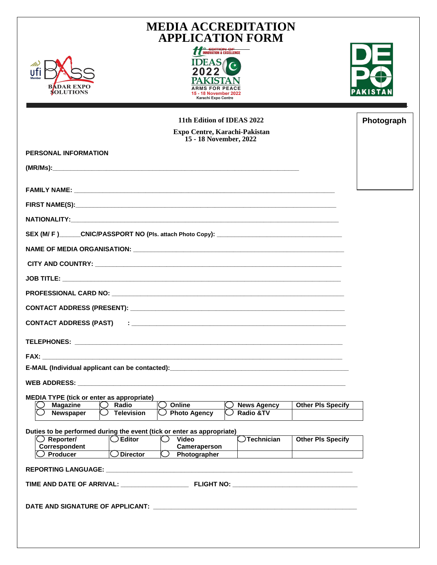| Mi                                                                                                                                                                                                                             | <b>MEDIA ACCREDITATION</b><br><b>APPLICATION FORM</b><br><b>11 EDITION OF</b><br><b>INNOVATION &amp; EXCELLENCE</b><br><b>IDEASA</b> |                    |                          |            |
|--------------------------------------------------------------------------------------------------------------------------------------------------------------------------------------------------------------------------------|--------------------------------------------------------------------------------------------------------------------------------------|--------------------|--------------------------|------------|
| ufi<br>BADAR EXPC<br><b>SOLUTIONS</b>                                                                                                                                                                                          | <b>ARMS FOR PEACF</b><br>15 - 18 November 2022<br>Karachi Expo Centre                                                                |                    |                          |            |
| 11th Edition of IDEAS 2022                                                                                                                                                                                                     |                                                                                                                                      |                    |                          | Photograph |
|                                                                                                                                                                                                                                | Expo Centre, Karachi-Pakistan<br>15 - 18 November, 2022                                                                              |                    |                          |            |
| <b>PERSONAL INFORMATION</b>                                                                                                                                                                                                    |                                                                                                                                      |                    |                          |            |
| (MR/Ms):                                                                                                                                                                                                                       |                                                                                                                                      |                    |                          |            |
|                                                                                                                                                                                                                                |                                                                                                                                      |                    |                          |            |
|                                                                                                                                                                                                                                |                                                                                                                                      |                    |                          |            |
|                                                                                                                                                                                                                                |                                                                                                                                      |                    |                          |            |
|                                                                                                                                                                                                                                |                                                                                                                                      |                    |                          |            |
|                                                                                                                                                                                                                                |                                                                                                                                      |                    |                          |            |
|                                                                                                                                                                                                                                |                                                                                                                                      |                    |                          |            |
|                                                                                                                                                                                                                                |                                                                                                                                      |                    |                          |            |
|                                                                                                                                                                                                                                |                                                                                                                                      |                    |                          |            |
|                                                                                                                                                                                                                                |                                                                                                                                      |                    |                          |            |
| <b>CONTACT ADDRESS (PAST)</b>                                                                                                                                                                                                  |                                                                                                                                      |                    |                          |            |
|                                                                                                                                                                                                                                |                                                                                                                                      |                    |                          |            |
| FAX: The contract of the contract of the contract of the contract of the contract of the contract of the contract of the contract of the contract of the contract of the contract of the contract of the contract of the contr |                                                                                                                                      |                    |                          |            |
| E-MAIL (Individual applicant can be contacted):__________________________________                                                                                                                                              |                                                                                                                                      |                    |                          |            |
|                                                                                                                                                                                                                                |                                                                                                                                      |                    |                          |            |
| <b>MEDIA TYPE (tick or enter as appropriate)</b><br>Radio<br><b>Magazine</b>                                                                                                                                                   | Online                                                                                                                               | <b>News Agency</b> | <b>Other PIs Specify</b> |            |
| <b>Television</b><br>Newspaper                                                                                                                                                                                                 | $\bigcirc$ Photo Agency                                                                                                              | Radio &TV          |                          |            |
| Duties to be performed during the event (tick or enter as appropriate)                                                                                                                                                         |                                                                                                                                      |                    |                          |            |
| $\bigcirc$ Reporter/<br>$\bigcirc$ Editor<br>Correspondent                                                                                                                                                                     | <b>Video</b><br>Cameraperson                                                                                                         | Technician         | <b>Other PIs Specify</b> |            |
| $\overline{\bigcirc}$ Director<br>)Producer                                                                                                                                                                                    | Photographer                                                                                                                         |                    |                          |            |
|                                                                                                                                                                                                                                |                                                                                                                                      |                    |                          |            |
|                                                                                                                                                                                                                                |                                                                                                                                      |                    |                          |            |
|                                                                                                                                                                                                                                |                                                                                                                                      |                    |                          |            |